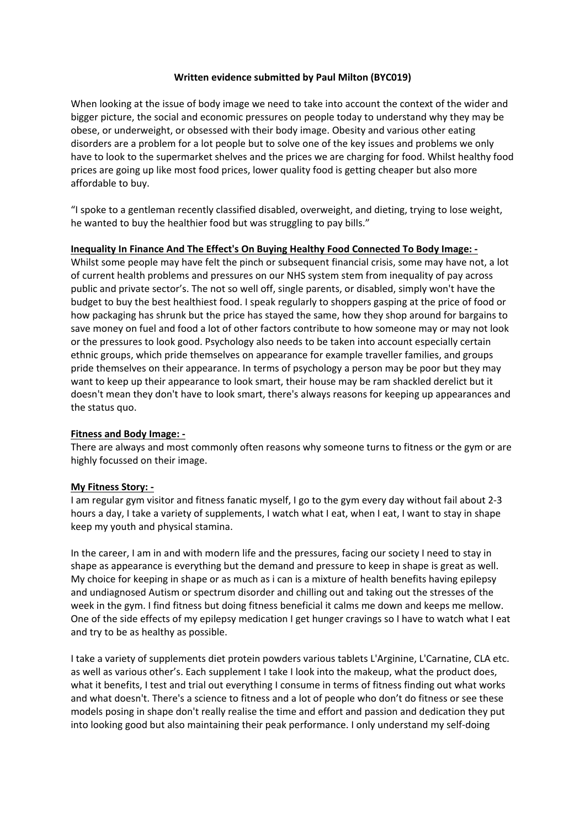#### **Written evidence submitted by Paul Milton (BYC019)**

When looking at the issue of body image we need to take into account the context of the wider and bigger picture, the social and economic pressures on people today to understand why they may be obese, or underweight, or obsessed with their body image. Obesity and various other eating disorders are a problem for a lot people but to solve one of the key issues and problems we only have to look to the supermarket shelves and the prices we are charging for food. Whilst healthy food prices are going up like most food prices, lower quality food is getting cheaper but also more affordable to buy.

"I spoke to a gentleman recently classified disabled, overweight, and dieting, trying to lose weight, he wanted to buy the healthier food but was struggling to pay bills."

#### **Inequality In Finance And The Effect's On Buying Healthy Food Connected To Body Image: ‐**

Whilst some people may have felt the pinch or subsequent financial crisis, some may have not, a lot of current health problems and pressures on our NHS system stem from inequality of pay across public and private sector's. The not so well off, single parents, or disabled, simply won't have the budget to buy the best healthiest food. I speak regularly to shoppers gasping at the price of food or how packaging has shrunk but the price has stayed the same, how they shop around for bargains to save money on fuel and food a lot of other factors contribute to how someone may or may not look or the pressures to look good. Psychology also needs to be taken into account especially certain ethnic groups, which pride themselves on appearance for example traveller families, and groups pride themselves on their appearance. In terms of psychology a person may be poor but they may want to keep up their appearance to look smart, their house may be ram shackled derelict but it doesn't mean they don't have to look smart, there's always reasons for keeping up appearances and the status quo.

#### **Fitness and Body Image: ‐**

There are always and most commonly often reasons why someone turns to fitness or the gym or are highly focussed on their image.

#### **My Fitness Story: ‐**

I am regular gym visitor and fitness fanatic myself, I go to the gym every day without fail about 2‐3 hours a day, I take a variety of supplements, I watch what I eat, when I eat, I want to stay in shape keep my youth and physical stamina.

In the career, I am in and with modern life and the pressures, facing our society I need to stay in shape as appearance is everything but the demand and pressure to keep in shape is great as well. My choice for keeping in shape or as much as i can is a mixture of health benefits having epilepsy and undiagnosed Autism or spectrum disorder and chilling out and taking out the stresses of the week in the gym. I find fitness but doing fitness beneficial it calms me down and keeps me mellow. One of the side effects of my epilepsy medication I get hunger cravings so I have to watch what I eat and try to be as healthy as possible.

I take a variety of supplements diet protein powders various tablets L'Arginine, L'Carnatine, CLA etc. as well as various other's. Each supplement I take I look into the makeup, what the product does, what it benefits, I test and trial out everything I consume in terms of fitness finding out what works and what doesn't. There's a science to fitness and a lot of people who don't do fitness or see these models posing in shape don't really realise the time and effort and passion and dedication they put into looking good but also maintaining their peak performance. I only understand my self‐doing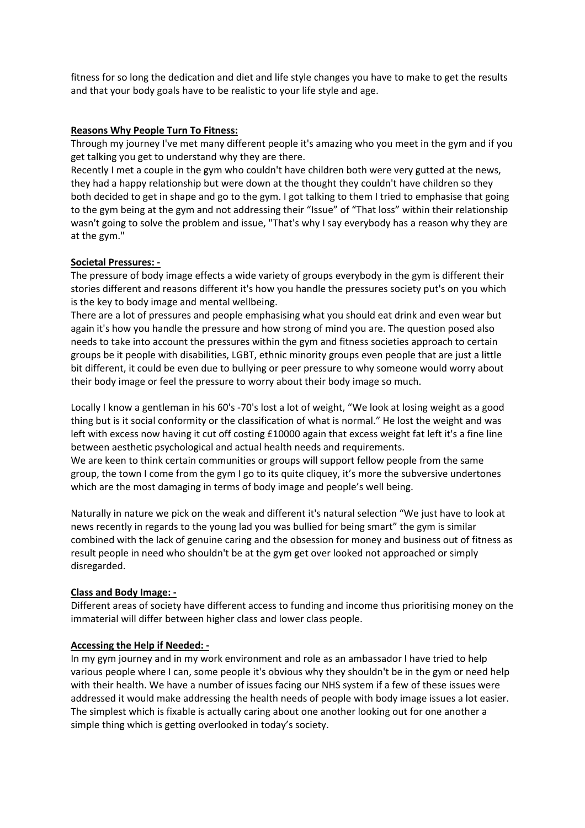fitness for so long the dedication and diet and life style changes you have to make to get the results and that your body goals have to be realistic to your life style and age.

#### **Reasons Why People Turn To Fitness:**

Through my journey I've met many different people it's amazing who you meet in the gym and if you get talking you get to understand why they are there.

Recently I met a couple in the gym who couldn't have children both were very gutted at the news, they had a happy relationship but were down at the thought they couldn't have children so they both decided to get in shape and go to the gym. I got talking to them I tried to emphasise that going to the gym being at the gym and not addressing their "Issue" of "That loss" within their relationship wasn't going to solve the problem and issue, "That's why I say everybody has a reason why they are at the gym."

## **Societal Pressures: ‐**

The pressure of body image effects a wide variety of groups everybody in the gym is different their stories different and reasons different it's how you handle the pressures society put's on you which is the key to body image and mental wellbeing.

There are a lot of pressures and people emphasising what you should eat drink and even wear but again it's how you handle the pressure and how strong of mind you are. The question posed also needs to take into account the pressures within the gym and fitness societies approach to certain groups be it people with disabilities, LGBT, ethnic minority groups even people that are just a little bit different, it could be even due to bullying or peer pressure to why someone would worry about their body image or feel the pressure to worry about their body image so much.

Locally I know a gentleman in his 60's ‐70's lost a lot of weight, "We look at losing weight as a good thing but is it social conformity or the classification of what is normal." He lost the weight and was left with excess now having it cut off costing £10000 again that excess weight fat left it's a fine line between aesthetic psychological and actual health needs and requirements. We are keen to think certain communities or groups will support fellow people from the same group, the town I come from the gym I go to its quite cliquey, it's more the subversive undertones which are the most damaging in terms of body image and people's well being.

Naturally in nature we pick on the weak and different it's natural selection "We just have to look at news recently in regards to the young lad you was bullied for being smart" the gym is similar combined with the lack of genuine caring and the obsession for money and business out of fitness as result people in need who shouldn't be at the gym get over looked not approached or simply disregarded.

## **Class and Body Image: ‐**

Different areas of society have different access to funding and income thus prioritising money on the immaterial will differ between higher class and lower class people.

#### **Accessing the Help if Needed: ‐**

In my gym journey and in my work environment and role as an ambassador I have tried to help various people where I can, some people it's obvious why they shouldn't be in the gym or need help with their health. We have a number of issues facing our NHS system if a few of these issues were addressed it would make addressing the health needs of people with body image issues a lot easier. The simplest which is fixable is actually caring about one another looking out for one another a simple thing which is getting overlooked in today's society.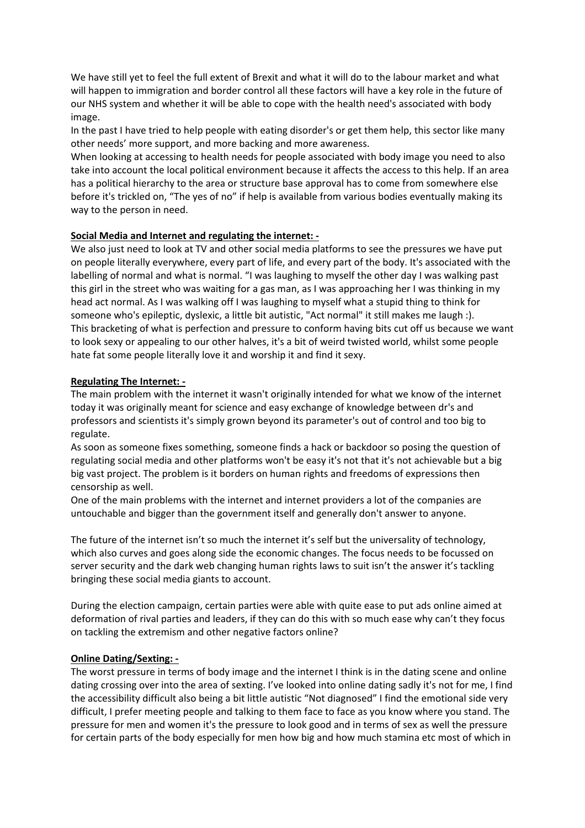We have still yet to feel the full extent of Brexit and what it will do to the labour market and what will happen to immigration and border control all these factors will have a key role in the future of our NHS system and whether it will be able to cope with the health need's associated with body image.

In the past I have tried to help people with eating disorder's or get them help, this sector like many other needs' more support, and more backing and more awareness.

When looking at accessing to health needs for people associated with body image you need to also take into account the local political environment because it affects the access to this help. If an area has a political hierarchy to the area or structure base approval has to come from somewhere else before it's trickled on, "The yes of no" if help is available from various bodies eventually making its way to the person in need.

#### **Social Media and Internet and regulating the internet: ‐**

We also just need to look at TV and other social media platforms to see the pressures we have put on people literally everywhere, every part of life, and every part of the body. It's associated with the labelling of normal and what is normal. "I was laughing to myself the other day I was walking past this girl in the street who was waiting for a gas man, as I was approaching her I was thinking in my head act normal. As I was walking off I was laughing to myself what a stupid thing to think for someone who's epileptic, dyslexic, a little bit autistic, "Act normal" it still makes me laugh :). This bracketing of what is perfection and pressure to conform having bits cut off us because we want to look sexy or appealing to our other halves, it's a bit of weird twisted world, whilst some people hate fat some people literally love it and worship it and find it sexy.

## **Regulating The Internet: ‐**

The main problem with the internet it wasn't originally intended for what we know of the internet today it was originally meant for science and easy exchange of knowledge between dr's and professors and scientists it's simply grown beyond its parameter's out of control and too big to regulate.

As soon as someone fixes something, someone finds a hack or backdoor so posing the question of regulating social media and other platforms won't be easy it's not that it's not achievable but a big big vast project. The problem is it borders on human rights and freedoms of expressions then censorship as well.

One of the main problems with the internet and internet providers a lot of the companies are untouchable and bigger than the government itself and generally don't answer to anyone.

The future of the internet isn't so much the internet it's self but the universality of technology, which also curves and goes along side the economic changes. The focus needs to be focussed on server security and the dark web changing human rights laws to suit isn't the answer it's tackling bringing these social media giants to account.

During the election campaign, certain parties were able with quite ease to put ads online aimed at deformation of rival parties and leaders, if they can do this with so much ease why can't they focus on tackling the extremism and other negative factors online?

#### **Online Dating/Sexting: ‐**

The worst pressure in terms of body image and the internet I think is in the dating scene and online dating crossing over into the area of sexting. I've looked into online dating sadly it's not for me, I find the accessibility difficult also being a bit little autistic "Not diagnosed" I find the emotional side very difficult, I prefer meeting people and talking to them face to face as you know where you stand. The pressure for men and women it's the pressure to look good and in terms of sex as well the pressure for certain parts of the body especially for men how big and how much stamina etc most of which in